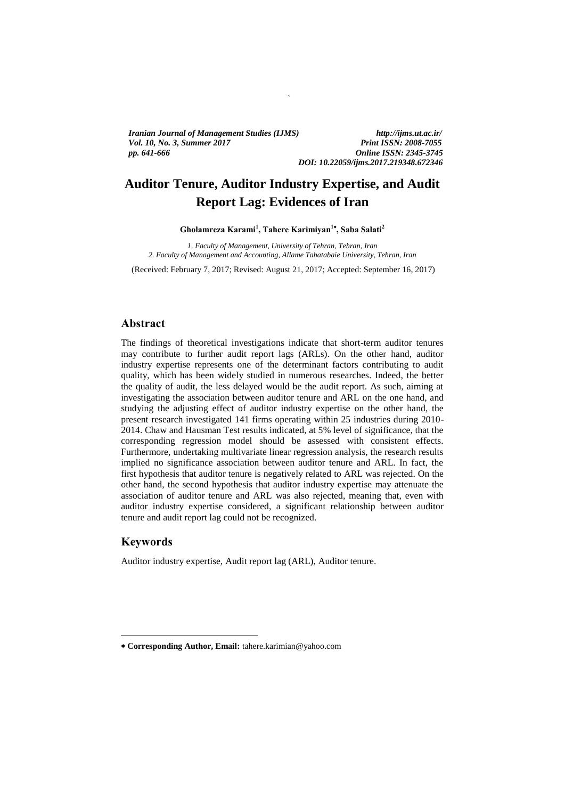*Vol. 10, No. 3, Summer 2017 Print ISSN: 2008-7055 Print ISSN: 2008-7055 Iranian Journal of Management Studies (IJMS) http://ijms.ut.ac.ir/ pp. 641-666 Online ISSN: 2345-3745*

# *DOI: 10.22059/ijms.2017.219348.672346*

# **Auditor Tenure, Auditor Industry Expertise, and Audit Report Lag: Evidences of Iran**

`

**Gholamreza Karami<sup>1</sup> , Tahere Karimiyan<sup>1</sup> , Saba Salati<sup>2</sup>**

*1. Faculty of Management, University of Tehran, Tehran, Iran 2. Faculty of Management and Accounting, Allame Tabatabaie University, Tehran, Iran*

(Received: February 7, 2017; Revised: August 21, 2017; Accepted: September 16, 2017)

# **Abstract**

The findings of theoretical investigations indicate that short-term auditor tenures may contribute to further audit report lags (ARLs). On the other hand, auditor industry expertise represents one of the determinant factors contributing to audit quality, which has been widely studied in numerous researches. Indeed, the better the quality of audit, the less delayed would be the audit report. As such, aiming at investigating the association between auditor tenure and ARL on the one hand, and studying the adjusting effect of auditor industry expertise on the other hand, the present research investigated 141 firms operating within 25 industries during 2010- 2014. Chaw and Hausman Test results indicated, at 5% level of significance, that the corresponding regression model should be assessed with consistent effects. Furthermore, undertaking multivariate linear regression analysis, the research results implied no significance association between auditor tenure and ARL. In fact, the first hypothesis that auditor tenure is negatively related to ARL was rejected. On the other hand, the second hypothesis that auditor industry expertise may attenuate the association of auditor tenure and ARL was also rejected, meaning that, even with auditor industry expertise considered, a significant relationship between auditor tenure and audit report lag could not be recognized.

# **Keywords**

1

Auditor industry expertise, Audit report lag (ARL), Auditor tenure.

**Corresponding Author, Email:** tahere.karimian@yahoo.com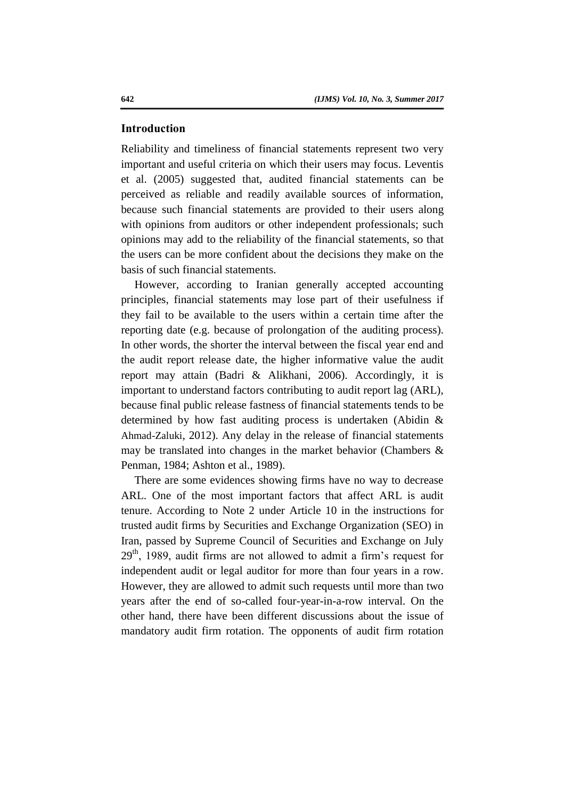#### **Introduction**

Reliability and timeliness of financial statements represent two very important and useful criteria on which their users may focus. Leventis et al. (2005) suggested that, audited financial statements can be perceived as reliable and readily available sources of information, because such financial statements are provided to their users along with opinions from auditors or other independent professionals; such opinions may add to the reliability of the financial statements, so that the users can be more confident about the decisions they make on the basis of such financial statements.

However, according to Iranian generally accepted accounting principles, financial statements may lose part of their usefulness if they fail to be available to the users within a certain time after the reporting date (e.g. because of prolongation of the auditing process). In other words, the shorter the interval between the fiscal year end and the audit report release date, the higher informative value the audit report may attain (Badri & Alikhani, 2006). Accordingly, it is important to understand factors contributing to audit report lag (ARL), because final public release fastness of financial statements tends to be determined by how fast auditing process is undertaken (Abidin & Ahmad-Zaluki, 2012). Any delay in the release of financial statements may be translated into changes in the market behavior (Chambers & Penman, 1984; Ashton et al., 1989).

There are some evidences showing firms have no way to decrease ARL. One of the most important factors that affect ARL is audit tenure. According to Note 2 under Article 10 in the instructions for trusted audit firms by Securities and Exchange Organization (SEO) in Iran, passed by Supreme Council of Securities and Exchange on July  $29<sup>th</sup>$ , 1989, audit firms are not allowed to admit a firm's request for independent audit or legal auditor for more than four years in a row. However, they are allowed to admit such requests until more than two years after the end of so-called four-year-in-a-row interval. On the other hand, there have been different discussions about the issue of mandatory audit firm rotation. The opponents of audit firm rotation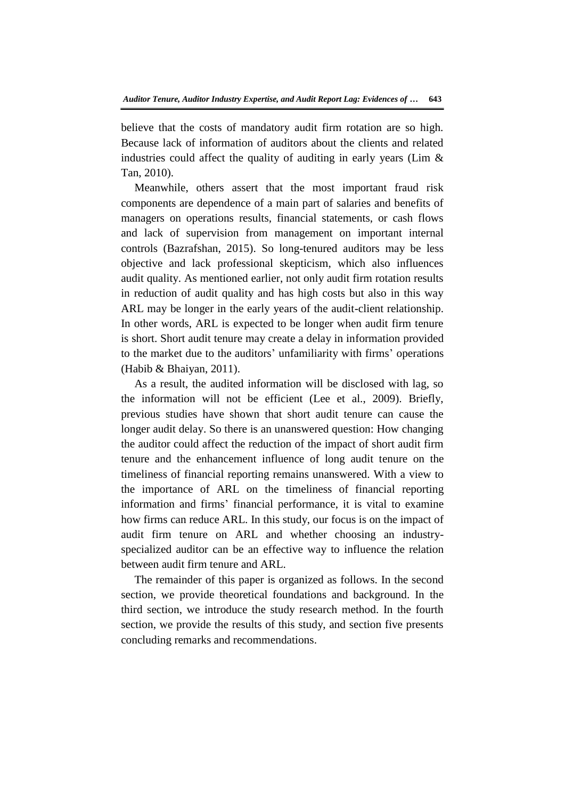believe that the costs of mandatory audit firm rotation are so high. Because lack of information of auditors about the clients and related industries could affect the quality of auditing in early years (Lim  $\&$ Tan, 2010).

Meanwhile, others assert that the most important fraud risk components are dependence of a main part of salaries and benefits of managers on operations results, financial statements, or cash flows and lack of supervision from management on important internal controls (Bazrafshan, 2015). So long-tenured auditors may be less objective and lack professional skepticism, which also influences audit quality. As mentioned earlier, not only audit firm rotation results in reduction of audit quality and has high costs but also in this way ARL may be longer in the early years of the audit-client relationship. In other words, ARL is expected to be longer when audit firm tenure is short. Short audit tenure may create a delay in information provided to the market due to the auditors' unfamiliarity with firms' operations (Habib & Bhaiyan, 2011).

As a result, the audited information will be disclosed with lag, so the information will not be efficient (Lee et al., 2009). Briefly, previous studies have shown that short audit tenure can cause the longer audit delay. So there is an unanswered question: How changing the auditor could affect the reduction of the impact of short audit firm tenure and the enhancement influence of long audit tenure on the timeliness of financial reporting remains unanswered. With a view to the importance of ARL on the timeliness of financial reporting information and firms' financial performance, it is vital to examine how firms can reduce ARL. In this study, our focus is on the impact of audit firm tenure on ARL and whether choosing an industryspecialized auditor can be an effective way to influence the relation between audit firm tenure and ARL.

The remainder of this paper is organized as follows. In the second section, we provide theoretical foundations and background. In the third section, we introduce the study research method. In the fourth section, we provide the results of this study, and section five presents concluding remarks and recommendations.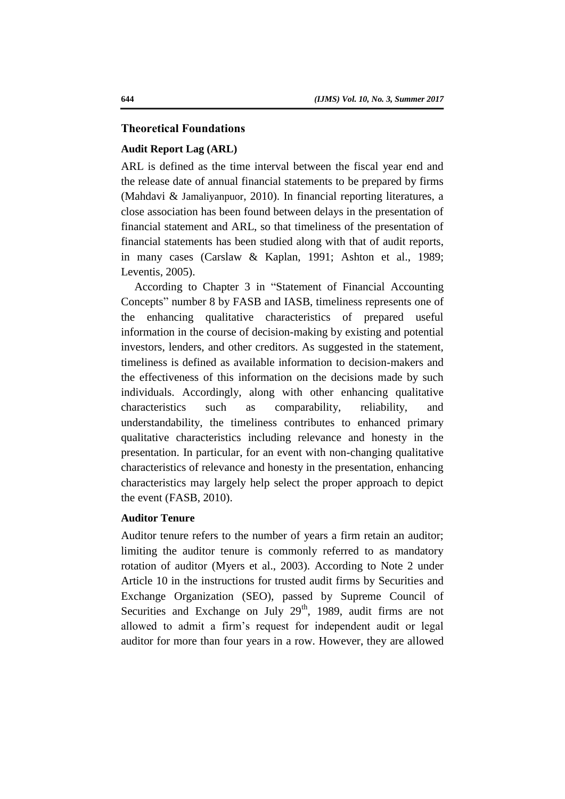# **Theoretical Foundations**

#### **Audit Report Lag (ARL)**

ARL is defined as the time interval between the fiscal year end and the release date of annual financial statements to be prepared by firms (Mahdavi & Jamaliyanpuor, 2010). In financial reporting literatures, a close association has been found between delays in the presentation of financial statement and ARL, so that timeliness of the presentation of financial statements has been studied along with that of audit reports, in many cases (Carslaw & Kaplan, 1991; Ashton et al., 1989; Leventis, 2005).

According to Chapter 3 in "Statement of Financial Accounting Concepts" number 8 by FASB and IASB, timeliness represents one of the enhancing qualitative characteristics of prepared useful information in the course of decision-making by existing and potential investors, lenders, and other creditors. As suggested in the statement, timeliness is defined as available information to decision-makers and the effectiveness of this information on the decisions made by such individuals. Accordingly, along with other enhancing qualitative characteristics such as comparability, reliability, and understandability, the timeliness contributes to enhanced primary qualitative characteristics including relevance and honesty in the presentation. In particular, for an event with non-changing qualitative characteristics of relevance and honesty in the presentation, enhancing characteristics may largely help select the proper approach to depict the event (FASB, 2010).

#### **Auditor Tenure**

Auditor tenure refers to the number of years a firm retain an auditor; limiting the auditor tenure is commonly referred to as mandatory rotation of auditor (Myers et al., 2003). According to Note 2 under Article 10 in the instructions for trusted audit firms by Securities and Exchange Organization (SEO), passed by Supreme Council of Securities and Exchange on July  $29<sup>th</sup>$ , 1989, audit firms are not allowed to admit a firm's request for independent audit or legal auditor for more than four years in a row. However, they are allowed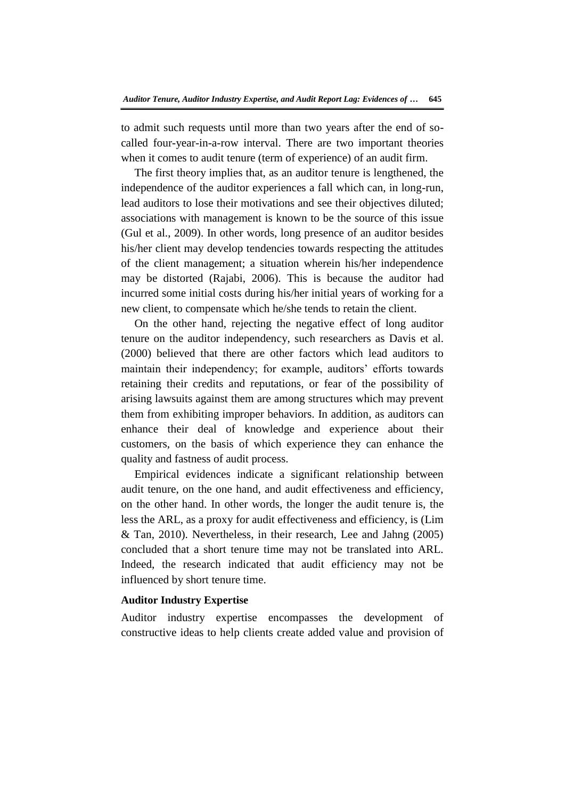to admit such requests until more than two years after the end of socalled four-year-in-a-row interval. There are two important theories when it comes to audit tenure (term of experience) of an audit firm.

The first theory implies that, as an auditor tenure is lengthened, the independence of the auditor experiences a fall which can, in long-run, lead auditors to lose their motivations and see their objectives diluted; associations with management is known to be the source of this issue (Gul et al., 2009). In other words, long presence of an auditor besides his/her client may develop tendencies towards respecting the attitudes of the client management; a situation wherein his/her independence may be distorted (Rajabi, 2006). This is because the auditor had incurred some initial costs during his/her initial years of working for a new client, to compensate which he/she tends to retain the client.

On the other hand, rejecting the negative effect of long auditor tenure on the auditor independency, such researchers as Davis et al. (2000) believed that there are other factors which lead auditors to maintain their independency; for example, auditors' efforts towards retaining their credits and reputations, or fear of the possibility of arising lawsuits against them are among structures which may prevent them from exhibiting improper behaviors. In addition, as auditors can enhance their deal of knowledge and experience about their customers, on the basis of which experience they can enhance the quality and fastness of audit process.

Empirical evidences indicate a significant relationship between audit tenure, on the one hand, and audit effectiveness and efficiency, on the other hand. In other words, the longer the audit tenure is, the less the ARL, as a proxy for audit effectiveness and efficiency, is (Lim & Tan, 2010). Nevertheless, in their research, Lee and Jahng (2005) concluded that a short tenure time may not be translated into ARL. Indeed, the research indicated that audit efficiency may not be influenced by short tenure time.

# **Auditor Industry Expertise**

Auditor industry expertise encompasses the development of constructive ideas to help clients create added value and provision of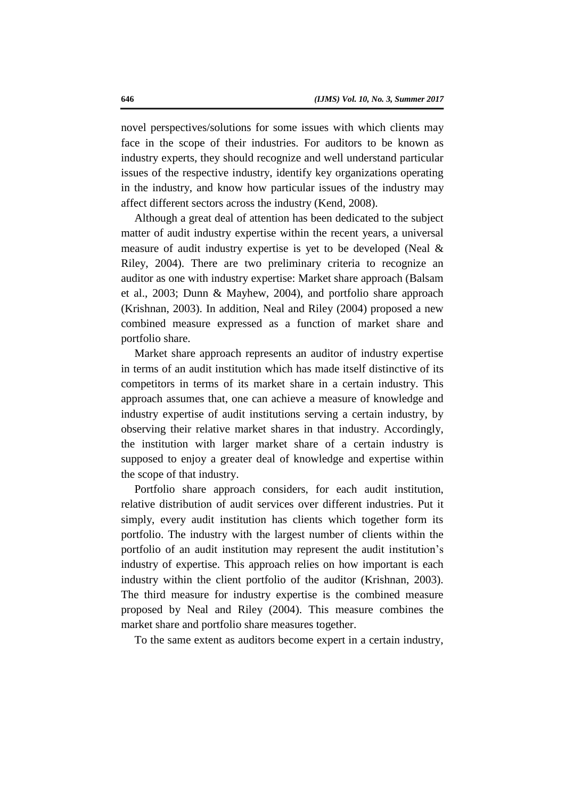novel perspectives/solutions for some issues with which clients may face in the scope of their industries. For auditors to be known as industry experts, they should recognize and well understand particular issues of the respective industry, identify key organizations operating in the industry, and know how particular issues of the industry may affect different sectors across the industry (Kend, 2008).

Although a great deal of attention has been dedicated to the subject matter of audit industry expertise within the recent years, a universal measure of audit industry expertise is yet to be developed (Neal & Riley, 2004). There are two preliminary criteria to recognize an auditor as one with industry expertise: Market share approach (Balsam et al., 2003; Dunn & Mayhew, 2004), and portfolio share approach (Krishnan, 2003). In addition, Neal and Riley (2004) proposed a new combined measure expressed as a function of market share and portfolio share.

Market share approach represents an auditor of industry expertise in terms of an audit institution which has made itself distinctive of its competitors in terms of its market share in a certain industry. This approach assumes that, one can achieve a measure of knowledge and industry expertise of audit institutions serving a certain industry, by observing their relative market shares in that industry. Accordingly, the institution with larger market share of a certain industry is supposed to enjoy a greater deal of knowledge and expertise within the scope of that industry.

Portfolio share approach considers, for each audit institution, relative distribution of audit services over different industries. Put it simply, every audit institution has clients which together form its portfolio. The industry with the largest number of clients within the portfolio of an audit institution may represent the audit institution's industry of expertise. This approach relies on how important is each industry within the client portfolio of the auditor (Krishnan, 2003). The third measure for industry expertise is the combined measure proposed by Neal and Riley (2004). This measure combines the market share and portfolio share measures together.

To the same extent as auditors become expert in a certain industry,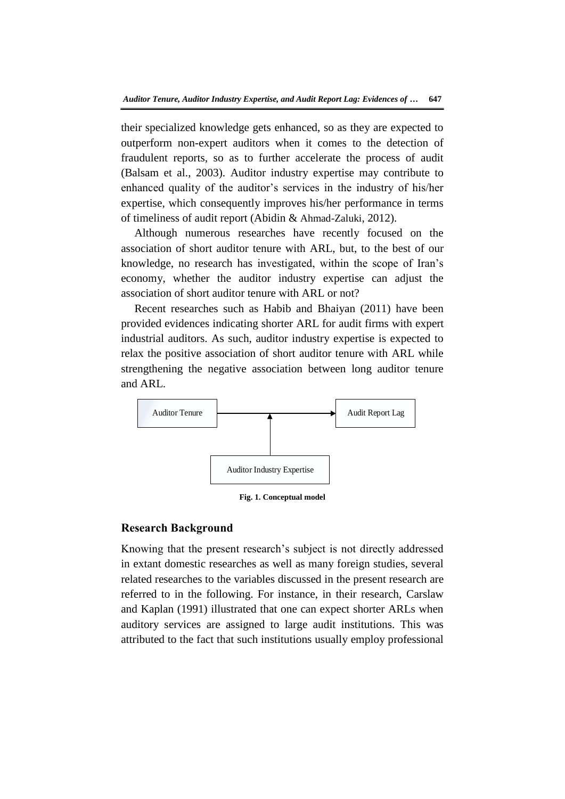their specialized knowledge gets enhanced, so as they are expected to outperform non-expert auditors when it comes to the detection of fraudulent reports, so as to further accelerate the process of audit (Balsam et al., 2003). Auditor industry expertise may contribute to enhanced quality of the auditor's services in the industry of his/her expertise, which consequently improves his/her performance in terms of timeliness of audit report (Abidin & Ahmad-Zaluki, 2012).

Although numerous researches have recently focused on the association of short auditor tenure with ARL, but, to the best of our knowledge, no research has investigated, within the scope of Iran's economy, whether the auditor industry expertise can adjust the association of short auditor tenure with ARL or not?

Recent researches such as Habib and Bhaiyan (2011) have been provided evidences indicating shorter ARL for audit firms with expert industrial auditors. As such, auditor industry expertise is expected to relax the positive association of short auditor tenure with ARL while strengthening the negative association between long auditor tenure and ARL.



**Fig. 1. Conceptual model**

# **Research Background**

Knowing that the present research's subject is not directly addressed in extant domestic researches as well as many foreign studies, several related researches to the variables discussed in the present research are referred to in the following. For instance, in their research, Carslaw and Kaplan (1991) illustrated that one can expect shorter ARLs when auditory services are assigned to large audit institutions. This was attributed to the fact that such institutions usually employ professional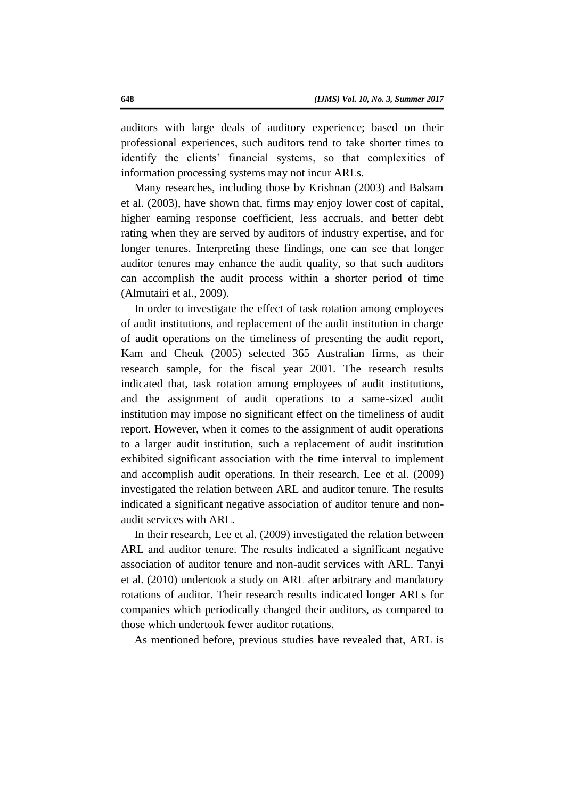auditors with large deals of auditory experience; based on their professional experiences, such auditors tend to take shorter times to identify the clients' financial systems, so that complexities of information processing systems may not incur ARLs.

Many researches, including those by Krishnan (2003) and Balsam et al. (2003), have shown that, firms may enjoy lower cost of capital, higher earning response coefficient, less accruals, and better debt rating when they are served by auditors of industry expertise, and for longer tenures. Interpreting these findings, one can see that longer auditor tenures may enhance the audit quality, so that such auditors can accomplish the audit process within a shorter period of time (Almutairi et al., 2009).

In order to investigate the effect of task rotation among employees of audit institutions, and replacement of the audit institution in charge of audit operations on the timeliness of presenting the audit report, Kam and Cheuk (2005) selected 365 Australian firms, as their research sample, for the fiscal year 2001. The research results indicated that, task rotation among employees of audit institutions, and the assignment of audit operations to a same-sized audit institution may impose no significant effect on the timeliness of audit report. However, when it comes to the assignment of audit operations to a larger audit institution, such a replacement of audit institution exhibited significant association with the time interval to implement and accomplish audit operations. In their research, Lee et al. (2009) investigated the relation between ARL and auditor tenure. The results indicated a significant negative association of auditor tenure and nonaudit services with ARL.

In their research, Lee et al. (2009) investigated the relation between ARL and auditor tenure. The results indicated a significant negative association of auditor tenure and non-audit services with ARL. Tanyi et al. (2010) undertook a study on ARL after arbitrary and mandatory rotations of auditor. Their research results indicated longer ARLs for companies which periodically changed their auditors, as compared to those which undertook fewer auditor rotations.

As mentioned before, previous studies have revealed that, ARL is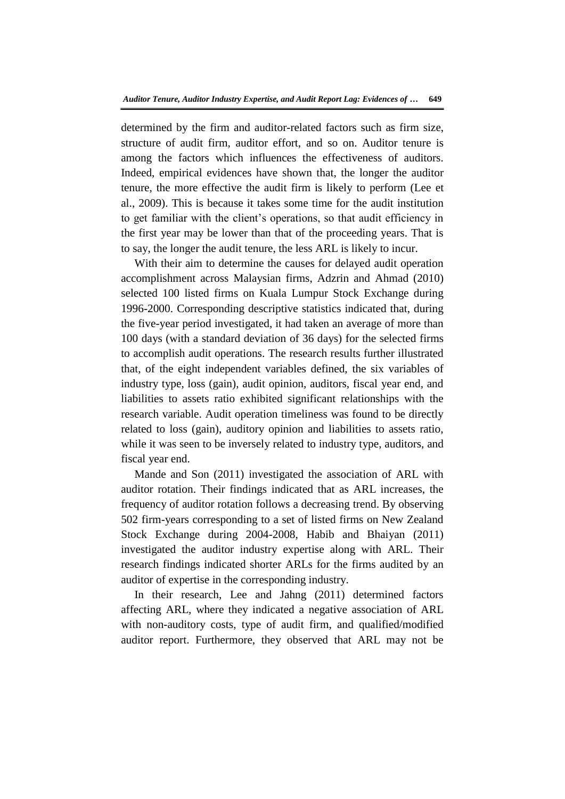determined by the firm and auditor-related factors such as firm size, structure of audit firm, auditor effort, and so on. Auditor tenure is among the factors which influences the effectiveness of auditors. Indeed, empirical evidences have shown that, the longer the auditor tenure, the more effective the audit firm is likely to perform (Lee et al., 2009). This is because it takes some time for the audit institution to get familiar with the client's operations, so that audit efficiency in the first year may be lower than that of the proceeding years. That is to say, the longer the audit tenure, the less ARL is likely to incur.

With their aim to determine the causes for delayed audit operation accomplishment across Malaysian firms, Adzrin and Ahmad (2010) selected 100 listed firms on Kuala Lumpur Stock Exchange during 1996-2000. Corresponding descriptive statistics indicated that, during the five-year period investigated, it had taken an average of more than 100 days (with a standard deviation of 36 days) for the selected firms to accomplish audit operations. The research results further illustrated that, of the eight independent variables defined, the six variables of industry type, loss (gain), audit opinion, auditors, fiscal year end, and liabilities to assets ratio exhibited significant relationships with the research variable. Audit operation timeliness was found to be directly related to loss (gain), auditory opinion and liabilities to assets ratio, while it was seen to be inversely related to industry type, auditors, and fiscal year end.

Mande and Son (2011) investigated the association of ARL with auditor rotation. Their findings indicated that as ARL increases, the frequency of auditor rotation follows a decreasing trend. By observing 502 firm-years corresponding to a set of listed firms on New Zealand Stock Exchange during 2004-2008, Habib and Bhaiyan (2011) investigated the auditor industry expertise along with ARL. Their research findings indicated shorter ARLs for the firms audited by an auditor of expertise in the corresponding industry.

In their research, Lee and Jahng (2011) determined factors affecting ARL, where they indicated a negative association of ARL with non-auditory costs, type of audit firm, and qualified/modified auditor report. Furthermore, they observed that ARL may not be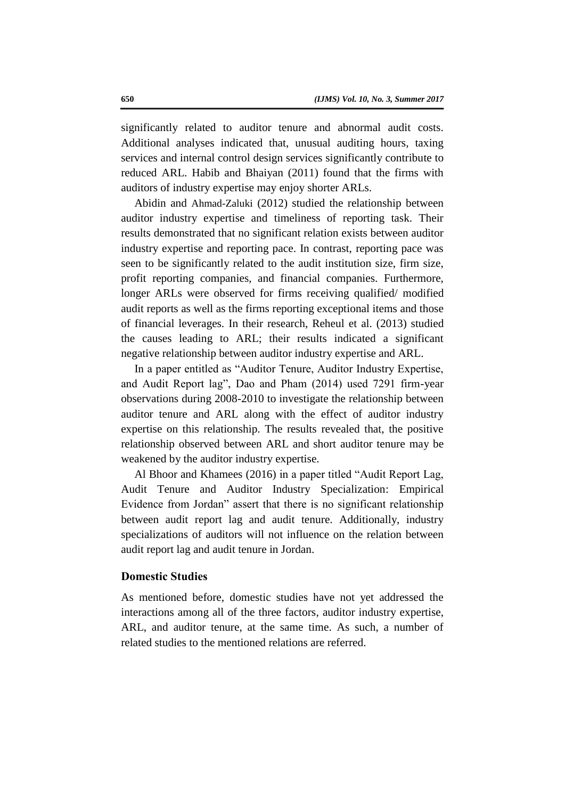significantly related to auditor tenure and abnormal audit costs. Additional analyses indicated that, unusual auditing hours, taxing services and internal control design services significantly contribute to reduced ARL. Habib and Bhaiyan (2011) found that the firms with auditors of industry expertise may enjoy shorter ARLs.

Abidin and Ahmad-Zaluki (2012) studied the relationship between auditor industry expertise and timeliness of reporting task. Their results demonstrated that no significant relation exists between auditor industry expertise and reporting pace. In contrast, reporting pace was seen to be significantly related to the audit institution size, firm size, profit reporting companies, and financial companies. Furthermore, longer ARLs were observed for firms receiving qualified/ modified audit reports as well as the firms reporting exceptional items and those of financial leverages. In their research, Reheul et al. (2013) studied the causes leading to ARL; their results indicated a significant negative relationship between auditor industry expertise and ARL.

In a paper entitled as "Auditor Tenure, Auditor Industry Expertise, and Audit Report lag", Dao and Pham (2014) used 7291 firm-year observations during 2008-2010 to investigate the relationship between auditor tenure and ARL along with the effect of auditor industry expertise on this relationship. The results revealed that, the positive relationship observed between ARL and short auditor tenure may be weakened by the auditor industry expertise.

Al Bhoor and Khamees (2016) in a paper titled "Audit Report Lag, Audit Tenure and Auditor Industry Specialization: Empirical Evidence from Jordan" assert that there is no significant relationship between audit report lag and audit tenure. Additionally, industry specializations of auditors will not influence on the relation between audit report lag and audit tenure in Jordan.

# **Domestic Studies**

As mentioned before, domestic studies have not yet addressed the interactions among all of the three factors, auditor industry expertise, ARL, and auditor tenure, at the same time. As such, a number of related studies to the mentioned relations are referred.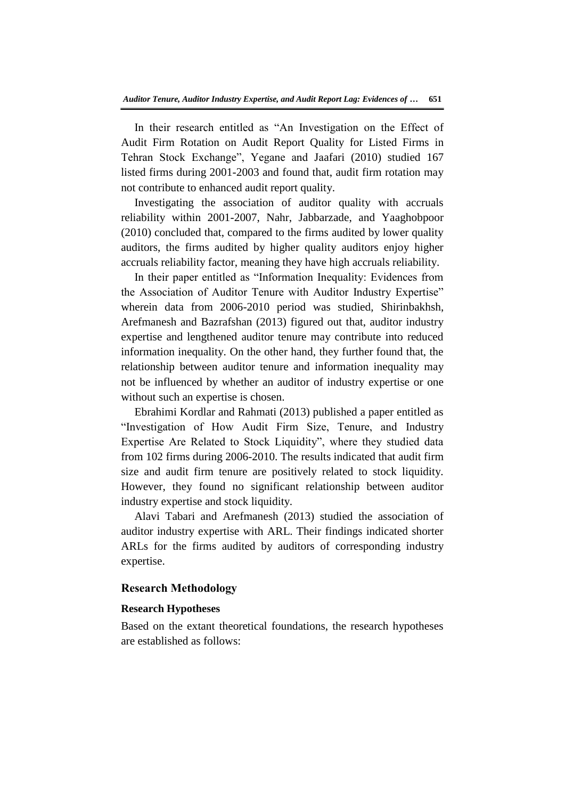In their research entitled as "An Investigation on the Effect of Audit Firm Rotation on Audit Report Quality for Listed Firms in Tehran Stock Exchange", Yegane and Jaafari (2010) studied 167 listed firms during 2001-2003 and found that, audit firm rotation may not contribute to enhanced audit report quality.

Investigating the association of auditor quality with accruals reliability within 2001-2007, Nahr, Jabbarzade, and Yaaghobpoor (2010) concluded that, compared to the firms audited by lower quality auditors, the firms audited by higher quality auditors enjoy higher accruals reliability factor, meaning they have high accruals reliability.

In their paper entitled as "Information Inequality: Evidences from the Association of Auditor Tenure with Auditor Industry Expertise" wherein data from 2006-2010 period was studied, Shirinbakhsh, Arefmanesh and Bazrafshan (2013) figured out that, auditor industry expertise and lengthened auditor tenure may contribute into reduced information inequality. On the other hand, they further found that, the relationship between auditor tenure and information inequality may not be influenced by whether an auditor of industry expertise or one without such an expertise is chosen.

Ebrahimi Kordlar and Rahmati (2013) published a paper entitled as "Investigation of How Audit Firm Size, Tenure, and Industry Expertise Are Related to Stock Liquidity", where they studied data from 102 firms during 2006-2010. The results indicated that audit firm size and audit firm tenure are positively related to stock liquidity. However, they found no significant relationship between auditor industry expertise and stock liquidity.

Alavi Tabari and Arefmanesh (2013) studied the association of auditor industry expertise with ARL. Their findings indicated shorter ARLs for the firms audited by auditors of corresponding industry expertise.

#### **Research Methodology**

#### **Research Hypotheses**

Based on the extant theoretical foundations, the research hypotheses are established as follows: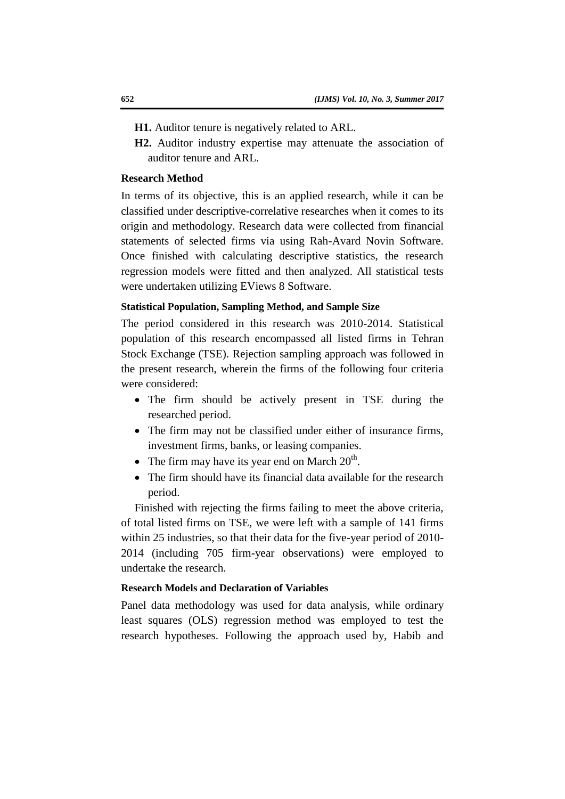**H1.** Auditor tenure is negatively related to ARL.

**H2.** Auditor industry expertise may attenuate the association of auditor tenure and ARL.

#### **Research Method**

In terms of its objective, this is an applied research, while it can be classified under descriptive-correlative researches when it comes to its origin and methodology. Research data were collected from financial statements of selected firms via using Rah-Avard Novin Software. Once finished with calculating descriptive statistics, the research regression models were fitted and then analyzed. All statistical tests were undertaken utilizing EViews 8 Software.

# **Statistical Population, Sampling Method, and Sample Size**

The period considered in this research was 2010-2014. Statistical population of this research encompassed all listed firms in Tehran Stock Exchange (TSE). Rejection sampling approach was followed in the present research, wherein the firms of the following four criteria were considered:

- The firm should be actively present in TSE during the researched period.
- The firm may not be classified under either of insurance firms, investment firms, banks, or leasing companies.
- The firm may have its year end on March  $20^{\text{th}}$ .
- The firm should have its financial data available for the research period.

Finished with rejecting the firms failing to meet the above criteria, of total listed firms on TSE, we were left with a sample of 141 firms within 25 industries, so that their data for the five-year period of 2010- 2014 (including 705 firm-year observations) were employed to undertake the research.

# **Research Models and Declaration of Variables**

Panel data methodology was used for data analysis, while ordinary least squares (OLS) regression method was employed to test the research hypotheses. Following the approach used by, Habib and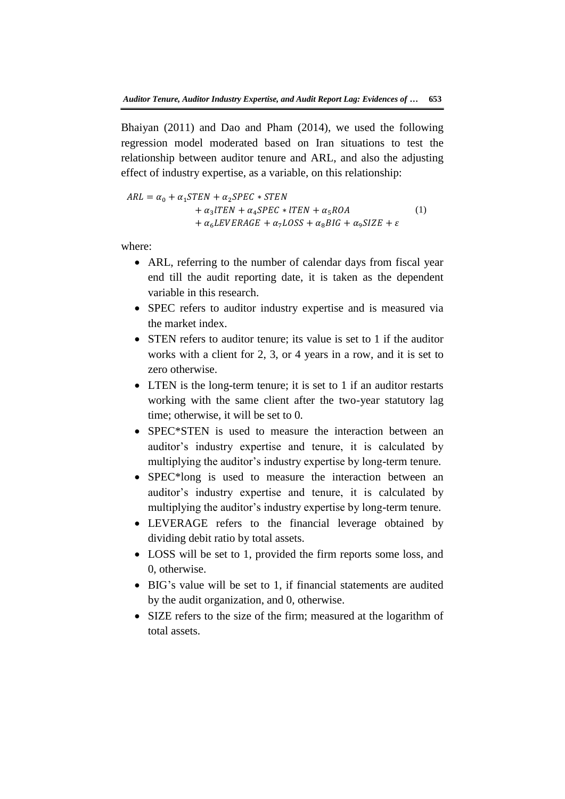Bhaiyan (2011) and Dao and Pham (2014), we used the following regression model moderated based on Iran situations to test the relationship between auditor tenure and ARL, and also the adjusting effect of industry expertise, as a variable, on this relationship:

 $ARL = \alpha_0 + \alpha_1 STEN + \alpha_2 SPEC * STEN$  $+\alpha_3 l$ +  $\alpha_6$ LEVERAGE +  $\alpha_7$ LOSS +  $\alpha_8$ BIG +  $\alpha_9$ SIZE +  $\varepsilon$ (1)

where:

- ARL, referring to the number of calendar days from fiscal year end till the audit reporting date, it is taken as the dependent variable in this research.
- SPEC refers to auditor industry expertise and is measured via the market index.
- STEN refers to auditor tenure; its value is set to 1 if the auditor works with a client for 2, 3, or 4 years in a row, and it is set to zero otherwise.
- LTEN is the long-term tenure; it is set to 1 if an auditor restarts working with the same client after the two-year statutory lag time; otherwise, it will be set to 0.
- SPEC<sup>\*</sup>STEN is used to measure the interaction between an auditor's industry expertise and tenure, it is calculated by multiplying the auditor's industry expertise by long-term tenure.
- SPEC\*long is used to measure the interaction between an auditor's industry expertise and tenure, it is calculated by multiplying the auditor's industry expertise by long-term tenure.
- LEVERAGE refers to the financial leverage obtained by dividing debit ratio by total assets.
- LOSS will be set to 1, provided the firm reports some loss, and 0, otherwise.
- BIG's value will be set to 1, if financial statements are audited by the audit organization, and 0, otherwise.
- SIZE refers to the size of the firm; measured at the logarithm of total assets.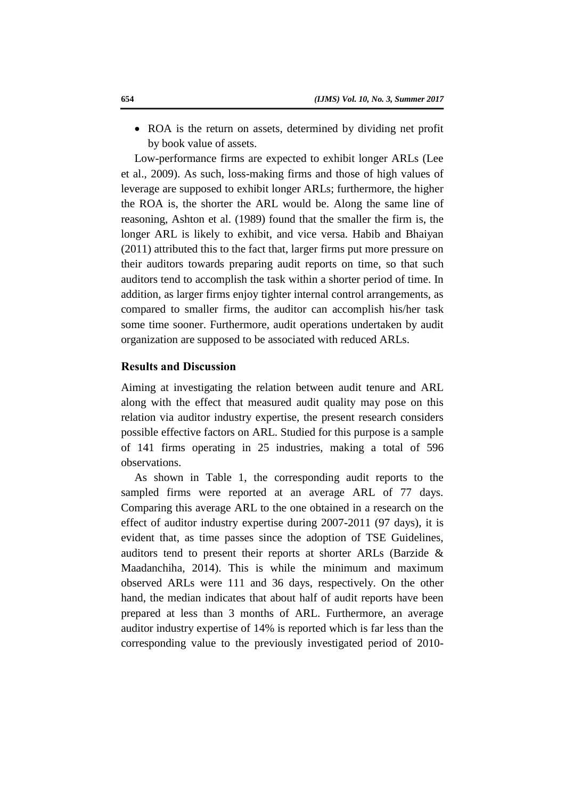• ROA is the return on assets, determined by dividing net profit by book value of assets.

Low-performance firms are expected to exhibit longer ARLs (Lee et al., 2009). As such, loss-making firms and those of high values of leverage are supposed to exhibit longer ARLs; furthermore, the higher the ROA is, the shorter the ARL would be. Along the same line of reasoning, Ashton et al. (1989) found that the smaller the firm is, the longer ARL is likely to exhibit, and vice versa. Habib and Bhaiyan (2011) attributed this to the fact that, larger firms put more pressure on their auditors towards preparing audit reports on time, so that such auditors tend to accomplish the task within a shorter period of time. In addition, as larger firms enjoy tighter internal control arrangements, as compared to smaller firms, the auditor can accomplish his/her task some time sooner. Furthermore, audit operations undertaken by audit organization are supposed to be associated with reduced ARLs.

# **Results and Discussion**

Aiming at investigating the relation between audit tenure and ARL along with the effect that measured audit quality may pose on this relation via auditor industry expertise, the present research considers possible effective factors on ARL. Studied for this purpose is a sample of 141 firms operating in 25 industries, making a total of 596 observations.

As shown in Table 1, the corresponding audit reports to the sampled firms were reported at an average ARL of 77 days. Comparing this average ARL to the one obtained in a research on the effect of auditor industry expertise during 2007-2011 (97 days), it is evident that, as time passes since the adoption of TSE Guidelines, auditors tend to present their reports at shorter ARLs (Barzide & Maadanchiha, 2014). This is while the minimum and maximum observed ARLs were 111 and 36 days, respectively. On the other hand, the median indicates that about half of audit reports have been prepared at less than 3 months of ARL. Furthermore, an average auditor industry expertise of 14% is reported which is far less than the corresponding value to the previously investigated period of 2010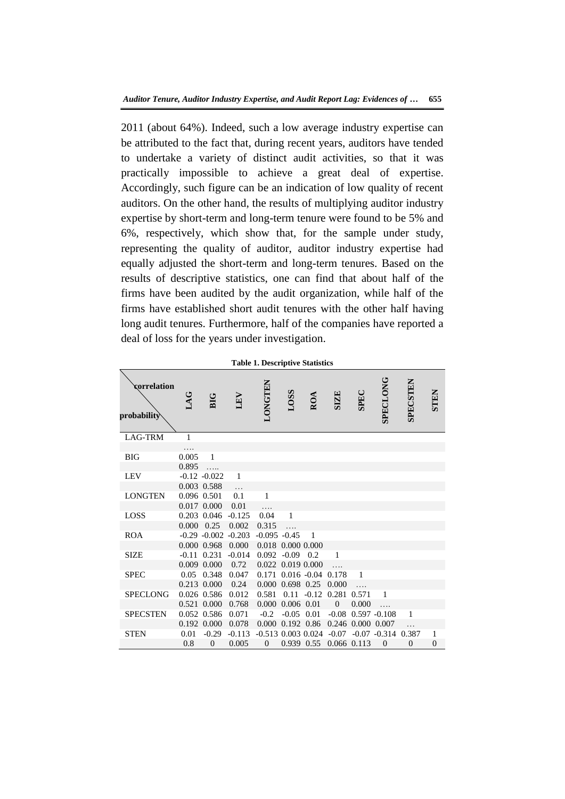2011 (about 64%). Indeed, such a low average industry expertise can be attributed to the fact that, during recent years, auditors have tended to undertake a variety of distinct audit activities, so that it was practically impossible to achieve a great deal of expertise. Accordingly, such figure can be an indication of low quality of recent auditors. On the other hand, the results of multiplying auditor industry expertise by short-term and long-term tenure were found to be 5% and 6%, respectively, which show that, for the sample under study, representing the quality of auditor, auditor industry expertise had equally adjusted the short-term and long-term tenures. Based on the results of descriptive statistics, one can find that about half of the firms have been audited by the audit organization, while half of the firms have established short audit tenures with the other half having long audit tenures. Furthermore, half of the companies have reported a deal of loss for the years under investigation.

| <b>Table 1. Descriptive Statistics</b> |                    |                           |                           |                                                |                   |                |                               |                   |                        |                 |               |
|----------------------------------------|--------------------|---------------------------|---------------------------|------------------------------------------------|-------------------|----------------|-------------------------------|-------------------|------------------------|-----------------|---------------|
| correlation<br>probability             | LAG                | <b>BIG</b>                | LEV                       | <b>LONGTEN</b>                                 | <b>LOSS</b>       | ROA            | <b>SIZE</b>                   | <b>SPEC</b>       | <b>SPECLONG</b>        | <b>SPECSTEN</b> | <b>STEN</b>   |
| LAG-TRM                                | $\mathbf{1}$       |                           |                           |                                                |                   |                |                               |                   |                        |                 |               |
| <b>BIG</b>                             | 0.005<br>0.895     | $\mathbf{1}$<br>.         |                           |                                                |                   |                |                               |                   |                        |                 |               |
| <b>LEV</b>                             |                    | $-0.12 - 0.022$           | $\mathbf{1}$              |                                                |                   |                |                               |                   |                        |                 |               |
|                                        |                    | 0.003 0.588               | $\cdots$                  |                                                |                   |                |                               |                   |                        |                 |               |
| <b>LONGTEN</b>                         |                    | 0.096 0.501               | 0.1                       | $\mathbf{1}$                                   |                   |                |                               |                   |                        |                 |               |
|                                        |                    | 0.017 0.000               | 0.01                      |                                                |                   |                |                               |                   |                        |                 |               |
| LOSS                                   |                    | 0.203 0.046               | $-0.125$                  | 0.04                                           | $\mathbf{1}$      |                |                               |                   |                        |                 |               |
|                                        | $0.000 \quad 0.25$ |                           | 0.002                     | 0.315                                          | $\cdots$          |                |                               |                   |                        |                 |               |
| <b>ROA</b>                             |                    |                           | $-0.29$ $-0.002$ $-0.203$ | $-0.095 -0.45$                                 |                   | $\overline{1}$ |                               |                   |                        |                 |               |
|                                        |                    | 0.000 0.968               | 0.000                     |                                                | 0.018 0.000 0.000 |                |                               |                   |                        |                 |               |
| <b>SIZE</b>                            |                    | $-0.11$ $0.231$           | $-0.014$                  | $0.092 - 0.09 0.2$                             |                   |                | $\overline{1}$                |                   |                        |                 |               |
|                                        |                    | 0.009 0.000               | 0.72                      | 0.022 0.019 0.000                              |                   |                | $\ddotsc$                     |                   |                        |                 |               |
| <b>SPEC</b>                            |                    | 0.05 0.348                | 0.047                     | $0.171$ $0.016$ $-0.04$                        |                   |                | 0.178                         | $\overline{1}$    |                        |                 |               |
|                                        |                    | 0.213 0.000               | 0.24                      |                                                | 0.000 0.698 0.25  |                | 0.000                         |                   |                        |                 |               |
| <b>SPECLONG</b>                        |                    | 0.026 0.586               | 0.012                     | 0.581                                          |                   |                | $0.11 - 0.12$ $0.281$ $0.571$ |                   | $\overline{1}$         |                 |               |
|                                        |                    | 0.521 0.000               | 0.768                     | 0.000 0.006 0.01                               |                   |                | $\overline{0}$                | 0.000             | $\cdots$               |                 |               |
| <b>SPECSTEN</b>                        |                    | 0.052 0.586               | 0.071                     | $-0.2$                                         | $-0.05$ 0.01      |                |                               |                   | $-0.08$ 0.597 $-0.108$ | 1               |               |
|                                        | 0.01               | 0.192 0.000               | 0.078                     | $0.000$ $0.192$ $0.86$<br>$-0.513$ 0.003 0.024 |                   |                | -0.07                         | 0.246 0.000 0.007 | $-0.07 -0.314$ 0.387   |                 |               |
| <b>STEN</b>                            | 0.8                | $-0.29$<br>$\overline{0}$ | $-0.113$<br>0.005         | $\overline{0}$                                 |                   |                | 0.939 0.55 0.066 0.113        |                   | $\Omega$               | $\overline{0}$  | 1<br>$\theta$ |
|                                        |                    |                           |                           |                                                |                   |                |                               |                   |                        |                 |               |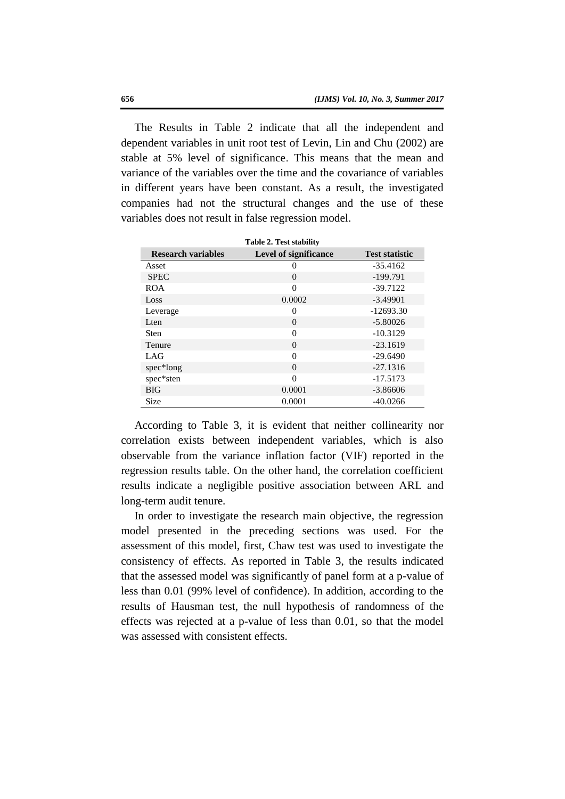The Results in Table 2 indicate that all the independent and dependent variables in unit root test of Levin, Lin and Chu (2002) are stable at 5% level of significance. This means that the mean and variance of the variables over the time and the covariance of variables in different years have been constant. As a result, the investigated companies had not the structural changes and the use of these variables does not result in false regression model.

| <b>Table 2. Test stability</b> |                              |                       |  |  |  |  |
|--------------------------------|------------------------------|-----------------------|--|--|--|--|
| <b>Research variables</b>      | <b>Level of significance</b> | <b>Test statistic</b> |  |  |  |  |
| Asset                          | 0                            | $-35.4162$            |  |  |  |  |
| <b>SPEC</b>                    | $\theta$                     | $-199.791$            |  |  |  |  |
| <b>ROA</b>                     | $\Omega$                     | $-39.7122$            |  |  |  |  |
| Loss                           | 0.0002                       | $-3.49901$            |  |  |  |  |
| Leverage                       | 0                            | $-12693.30$           |  |  |  |  |
| Lten                           | $\theta$                     | $-5.80026$            |  |  |  |  |
| <b>Sten</b>                    | $\theta$                     | $-10.3129$            |  |  |  |  |
| <b>Tenure</b>                  | $\theta$                     | $-23.1619$            |  |  |  |  |
| LAG                            | $\Omega$                     | $-29.6490$            |  |  |  |  |
| spec*long                      | $\theta$                     | $-27.1316$            |  |  |  |  |
| spec*sten                      | $\Omega$                     | $-17.5173$            |  |  |  |  |
| <b>BIG</b>                     | 0.0001                       | $-3.86606$            |  |  |  |  |
| Size                           | 0.0001                       | $-40.0266$            |  |  |  |  |

According to Table 3, it is evident that neither collinearity nor correlation exists between independent variables, which is also observable from the variance inflation factor (VIF) reported in the regression results table. On the other hand, the correlation coefficient results indicate a negligible positive association between ARL and long-term audit tenure.

In order to investigate the research main objective, the regression model presented in the preceding sections was used. For the assessment of this model, first, Chaw test was used to investigate the consistency of effects. As reported in Table 3, the results indicated that the assessed model was significantly of panel form at a p-value of less than 0.01 (99% level of confidence). In addition, according to the results of Hausman test, the null hypothesis of randomness of the effects was rejected at a p-value of less than 0.01, so that the model was assessed with consistent effects.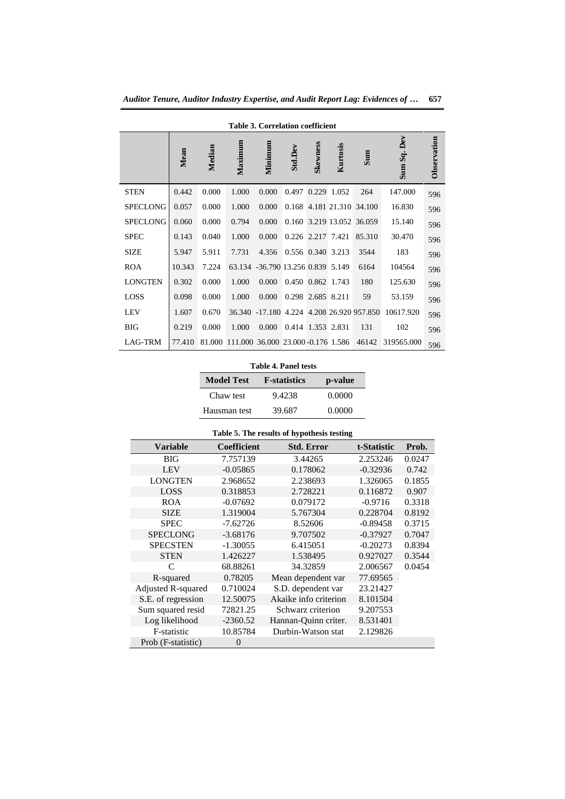| <b>Table 3. Correlation coefficient</b> |        |        |                                    |                                   |                   |          |             |                            |                |             |
|-----------------------------------------|--------|--------|------------------------------------|-----------------------------------|-------------------|----------|-------------|----------------------------|----------------|-------------|
|                                         | Mean   | Median | Maximum                            | Minimum                           | <b>Std.Dev</b>    | Skewness | Kurtosis    | Sum                        | Dev<br>Sum Sq. | Observation |
| <b>STEN</b>                             | 0.442  | 0.000  | 1.000                              | 0.000                             | 0.497             |          | 0.229 1.052 | 264                        | 147.000        | 596         |
| <b>SPECLONG</b>                         | 0.057  | 0.000  | 1.000                              | 0.000                             |                   |          |             | 0.168 4.181 21.310 34.100  | 16.830         | 596         |
| <b>SPECLONG</b>                         | 0.060  | 0.000  | 0.794                              | 0.000                             |                   |          |             | 0.160 3.219 13.052 36.059  | 15.140         | 596         |
| <b>SPEC</b>                             | 0.143  | 0.040  | 1.000                              | 0.000                             | 0.226 2.217 7.421 |          |             | 85.310                     | 30.470         | 596         |
| <b>SIZE</b>                             | 5.947  | 5.911  | 7.731                              | 4.356                             | 0.556 0.340 3.213 |          |             | 3544                       | 183            | 596         |
| <b>ROA</b>                              | 10.343 | 7.224  |                                    | 63.134 -36.790 13.256 0.839 5.149 |                   |          |             | 6164                       | 104564         | 596         |
| <b>LONGTEN</b>                          | 0.302  | 0.000  | 1.000                              | 0.000                             | 0.450 0.862 1.743 |          |             | 180                        | 125.630        | 596         |
| <b>LOSS</b>                             | 0.098  | 0.000  | 1.000                              | 0.000                             | 0.298 2.685 8.211 |          |             | 59                         | 53.159         | 596         |
| <b>LEV</b>                              | 1.607  | 0.670  | 36.340                             | $-17.180$                         |                   |          |             | 4.224 4.208 26.920 957.850 | 10617.920      | 596         |
| <b>BIG</b>                              | 0.219  | 0.000  | 1.000                              | 0.000                             | 0.414 1.353 2.831 |          |             | 131                        | 102            | 596         |
| LAG-TRM                                 | 77.410 | 81.000 | 111.000 36.000 23.000 -0.176 1.586 |                                   |                   |          |             | 46142                      | 319565.000     | 596         |

*Auditor Tenure, Auditor Industry Expertise, and Audit Report Lag: Evidences of …* **657**

**Table 4. Panel tests**

| <b>Model Test</b> | <b>F</b> -statistics | p-value |
|-------------------|----------------------|---------|
| Chaw test         | 9.4238               | 0.0000  |
| Hausman test      | 39.687               | 0.0000  |

#### **Table 5. The results of hypothesis testing**

| <b>Variable</b>    | <b>Coefficient</b> | <b>Std. Error</b>     | t-Statistic | Prob.  |
|--------------------|--------------------|-----------------------|-------------|--------|
| <b>BIG</b>         | 7.757139           | 3.44265               | 2.253246    | 0.0247 |
| <b>LEV</b>         | $-0.05865$         | 0.178062              | $-0.32936$  | 0.742  |
| <b>LONGTEN</b>     | 2.968652           | 2.238693              | 1.326065    | 0.1855 |
| <b>LOSS</b>        | 0.318853           | 2.728221              | 0.116872    | 0.907  |
| <b>ROA</b>         | $-0.07692$         | 0.079172              | $-0.9716$   | 0.3318 |
| <b>SIZE</b>        | 1.319004           | 5.767304              | 0.228704    | 0.8192 |
| <b>SPEC</b>        | $-7.62726$         | 8.52606               | $-0.89458$  | 0.3715 |
| <b>SPECLONG</b>    | $-3.68176$         | 9.707502              | $-0.37927$  | 0.7047 |
| <b>SPECSTEN</b>    | $-1.30055$         | 6.415051              | $-0.20273$  | 0.8394 |
| <b>STEN</b>        | 1.426227           | 1.538495              | 0.927027    | 0.3544 |
| C                  | 68.88261           | 34.32859              | 2.006567    | 0.0454 |
| R-squared          | 0.78205            | Mean dependent var    | 77.69565    |        |
| Adjusted R-squared | 0.710024           | S.D. dependent var    | 23.21427    |        |
| S.E. of regression | 12.50075           | Akaike info criterion | 8.101504    |        |
| Sum squared resid  | 72821.25           | Schwarz criterion     | 9.207553    |        |
| Log likelihood     | $-2360.52$         | Hannan-Quinn criter.  | 8.531401    |        |
| F-statistic        | 10.85784           | Durbin-Watson stat    | 2.129826    |        |
| Prob (F-statistic) | $\theta$           |                       |             |        |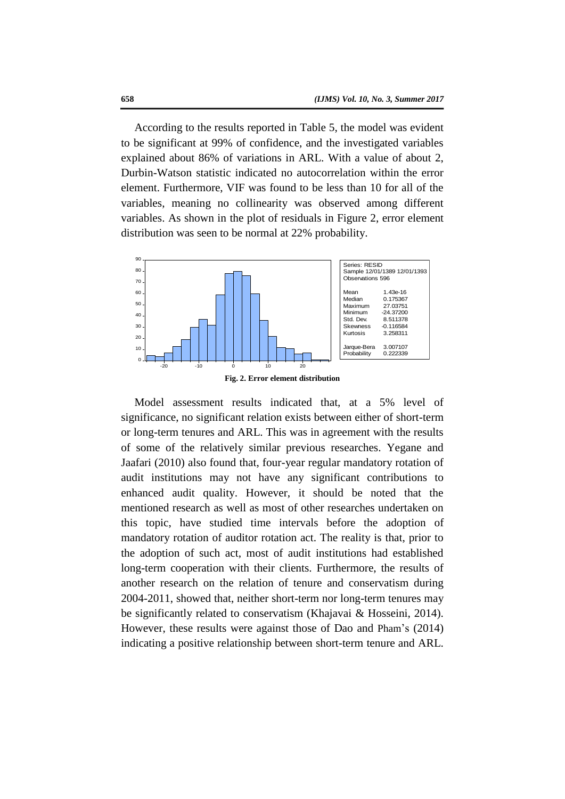According to the results reported in Table 5, the model was evident to be significant at 99% of confidence, and the investigated variables explained about 86% of variations in ARL. With a value of about 2, Durbin-Watson statistic indicated no autocorrelation within the error element. Furthermore, VIF was found to be less than 10 for all of the variables, meaning no collinearity was observed among different variables. As shown in the plot of residuals in Figure 2, error element distribution was seen to be normal at 22% probability.



**Fig. 2. Error element distribution**

Model assessment results indicated that, at a 5% level of significance, no significant relation exists between either of short-term or long-term tenures and ARL. This was in agreement with the results of some of the relatively similar previous researches. Yegane and Jaafari (2010) also found that, four-year regular mandatory rotation of audit institutions may not have any significant contributions to enhanced audit quality. However, it should be noted that the mentioned research as well as most of other researches undertaken on this topic, have studied time intervals before the adoption of mandatory rotation of auditor rotation act. The reality is that, prior to the adoption of such act, most of audit institutions had established long-term cooperation with their clients. Furthermore, the results of another research on the relation of tenure and conservatism during 2004-2011, showed that, neither short-term nor long-term tenures may be significantly related to conservatism (Khajavai & Hosseini, 2014). However, these results were against those of Dao and Pham's (2014) indicating a positive relationship between short-term tenure and ARL.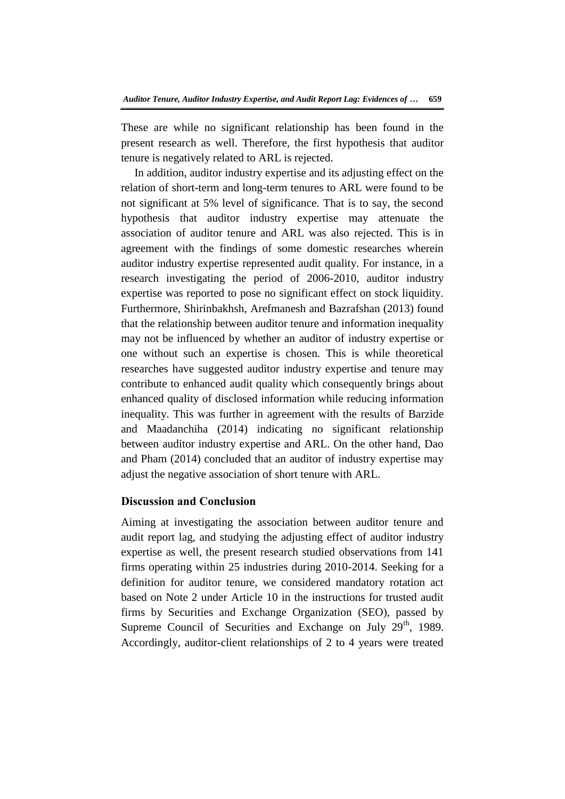These are while no significant relationship has been found in the present research as well. Therefore, the first hypothesis that auditor tenure is negatively related to ARL is rejected.

In addition, auditor industry expertise and its adjusting effect on the relation of short-term and long-term tenures to ARL were found to be not significant at 5% level of significance. That is to say, the second hypothesis that auditor industry expertise may attenuate the association of auditor tenure and ARL was also rejected. This is in agreement with the findings of some domestic researches wherein auditor industry expertise represented audit quality. For instance, in a research investigating the period of 2006-2010, auditor industry expertise was reported to pose no significant effect on stock liquidity. Furthermore, Shirinbakhsh, Arefmanesh and Bazrafshan (2013) found that the relationship between auditor tenure and information inequality may not be influenced by whether an auditor of industry expertise or one without such an expertise is chosen. This is while theoretical researches have suggested auditor industry expertise and tenure may contribute to enhanced audit quality which consequently brings about enhanced quality of disclosed information while reducing information inequality. This was further in agreement with the results of Barzide and Maadanchiha (2014) indicating no significant relationship between auditor industry expertise and ARL. On the other hand, Dao and Pham (2014) concluded that an auditor of industry expertise may adjust the negative association of short tenure with ARL.

# **Discussion and Conclusion**

Aiming at investigating the association between auditor tenure and audit report lag, and studying the adjusting effect of auditor industry expertise as well, the present research studied observations from 141 firms operating within 25 industries during 2010-2014. Seeking for a definition for auditor tenure, we considered mandatory rotation act based on Note 2 under Article 10 in the instructions for trusted audit firms by Securities and Exchange Organization (SEO), passed by Supreme Council of Securities and Exchange on July  $29<sup>th</sup>$ , 1989. Accordingly, auditor-client relationships of 2 to 4 years were treated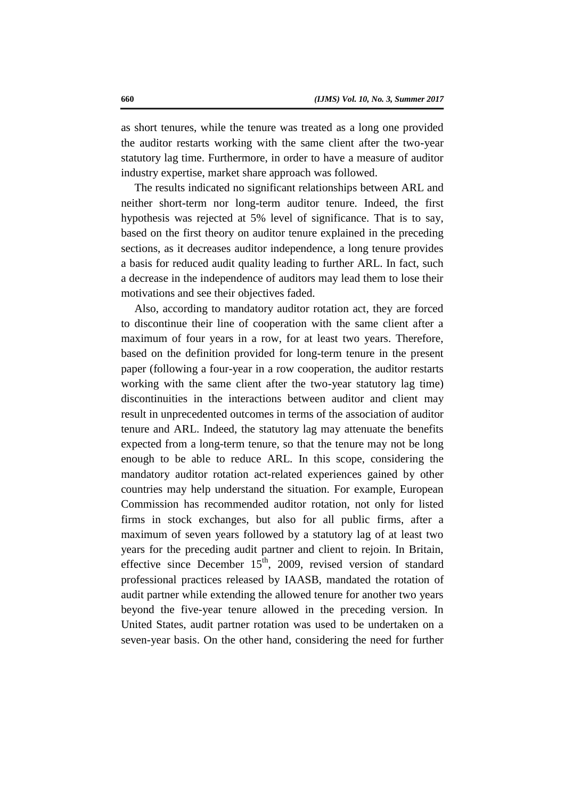as short tenures, while the tenure was treated as a long one provided the auditor restarts working with the same client after the two-year statutory lag time. Furthermore, in order to have a measure of auditor industry expertise, market share approach was followed.

The results indicated no significant relationships between ARL and neither short-term nor long-term auditor tenure. Indeed, the first hypothesis was rejected at 5% level of significance. That is to say, based on the first theory on auditor tenure explained in the preceding sections, as it decreases auditor independence, a long tenure provides a basis for reduced audit quality leading to further ARL. In fact, such a decrease in the independence of auditors may lead them to lose their motivations and see their objectives faded.

Also, according to mandatory auditor rotation act, they are forced to discontinue their line of cooperation with the same client after a maximum of four years in a row, for at least two years. Therefore, based on the definition provided for long-term tenure in the present paper (following a four-year in a row cooperation, the auditor restarts working with the same client after the two-year statutory lag time) discontinuities in the interactions between auditor and client may result in unprecedented outcomes in terms of the association of auditor tenure and ARL. Indeed, the statutory lag may attenuate the benefits expected from a long-term tenure, so that the tenure may not be long enough to be able to reduce ARL. In this scope, considering the mandatory auditor rotation act-related experiences gained by other countries may help understand the situation. For example, European Commission has recommended auditor rotation, not only for listed firms in stock exchanges, but also for all public firms, after a maximum of seven years followed by a statutory lag of at least two years for the preceding audit partner and client to rejoin. In Britain, effective since December  $15<sup>th</sup>$ , 2009, revised version of standard professional practices released by IAASB, mandated the rotation of audit partner while extending the allowed tenure for another two years beyond the five-year tenure allowed in the preceding version. In United States, audit partner rotation was used to be undertaken on a seven-year basis. On the other hand, considering the need for further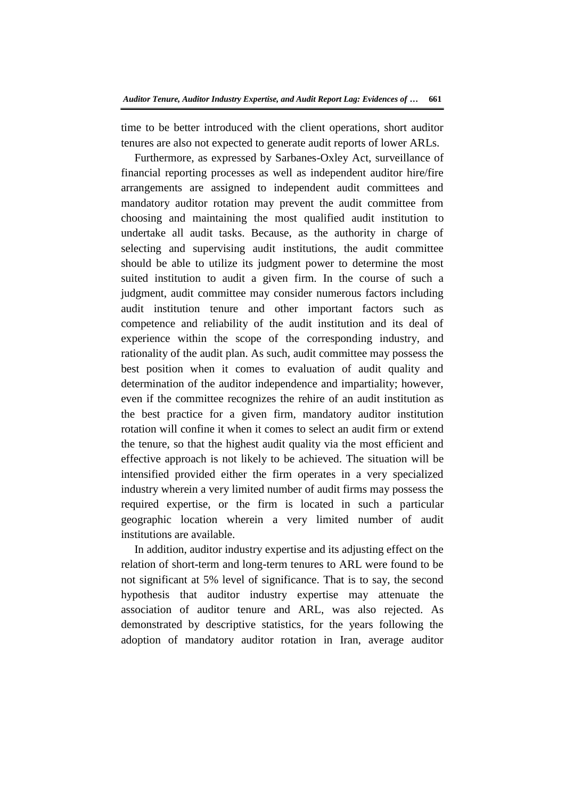time to be better introduced with the client operations, short auditor tenures are also not expected to generate audit reports of lower ARLs.

Furthermore, as expressed by Sarbanes-Oxley Act, surveillance of financial reporting processes as well as independent auditor hire/fire arrangements are assigned to independent audit committees and mandatory auditor rotation may prevent the audit committee from choosing and maintaining the most qualified audit institution to undertake all audit tasks. Because, as the authority in charge of selecting and supervising audit institutions, the audit committee should be able to utilize its judgment power to determine the most suited institution to audit a given firm. In the course of such a judgment, audit committee may consider numerous factors including audit institution tenure and other important factors such as competence and reliability of the audit institution and its deal of experience within the scope of the corresponding industry, and rationality of the audit plan. As such, audit committee may possess the best position when it comes to evaluation of audit quality and determination of the auditor independence and impartiality; however, even if the committee recognizes the rehire of an audit institution as the best practice for a given firm, mandatory auditor institution rotation will confine it when it comes to select an audit firm or extend the tenure, so that the highest audit quality via the most efficient and effective approach is not likely to be achieved. The situation will be intensified provided either the firm operates in a very specialized industry wherein a very limited number of audit firms may possess the required expertise, or the firm is located in such a particular geographic location wherein a very limited number of audit institutions are available.

In addition, auditor industry expertise and its adjusting effect on the relation of short-term and long-term tenures to ARL were found to be not significant at 5% level of significance. That is to say, the second hypothesis that auditor industry expertise may attenuate the association of auditor tenure and ARL, was also rejected. As demonstrated by descriptive statistics, for the years following the adoption of mandatory auditor rotation in Iran, average auditor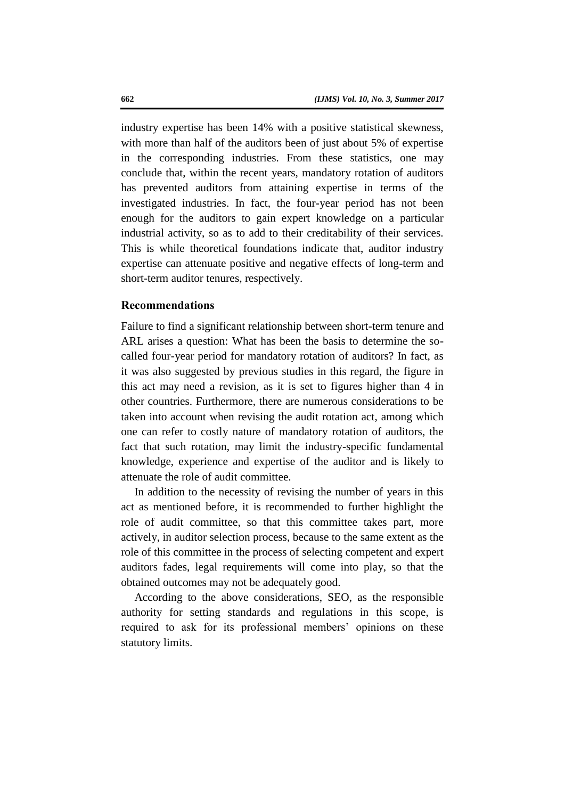industry expertise has been 14% with a positive statistical skewness, with more than half of the auditors been of just about 5% of expertise in the corresponding industries. From these statistics, one may conclude that, within the recent years, mandatory rotation of auditors has prevented auditors from attaining expertise in terms of the investigated industries. In fact, the four-year period has not been enough for the auditors to gain expert knowledge on a particular industrial activity, so as to add to their creditability of their services. This is while theoretical foundations indicate that, auditor industry expertise can attenuate positive and negative effects of long-term and short-term auditor tenures, respectively.

# **Recommendations**

Failure to find a significant relationship between short-term tenure and ARL arises a question: What has been the basis to determine the socalled four-year period for mandatory rotation of auditors? In fact, as it was also suggested by previous studies in this regard, the figure in this act may need a revision, as it is set to figures higher than 4 in other countries. Furthermore, there are numerous considerations to be taken into account when revising the audit rotation act, among which one can refer to costly nature of mandatory rotation of auditors, the fact that such rotation, may limit the industry-specific fundamental knowledge, experience and expertise of the auditor and is likely to attenuate the role of audit committee.

In addition to the necessity of revising the number of years in this act as mentioned before, it is recommended to further highlight the role of audit committee, so that this committee takes part, more actively, in auditor selection process, because to the same extent as the role of this committee in the process of selecting competent and expert auditors fades, legal requirements will come into play, so that the obtained outcomes may not be adequately good.

According to the above considerations, SEO, as the responsible authority for setting standards and regulations in this scope, is required to ask for its professional members' opinions on these statutory limits.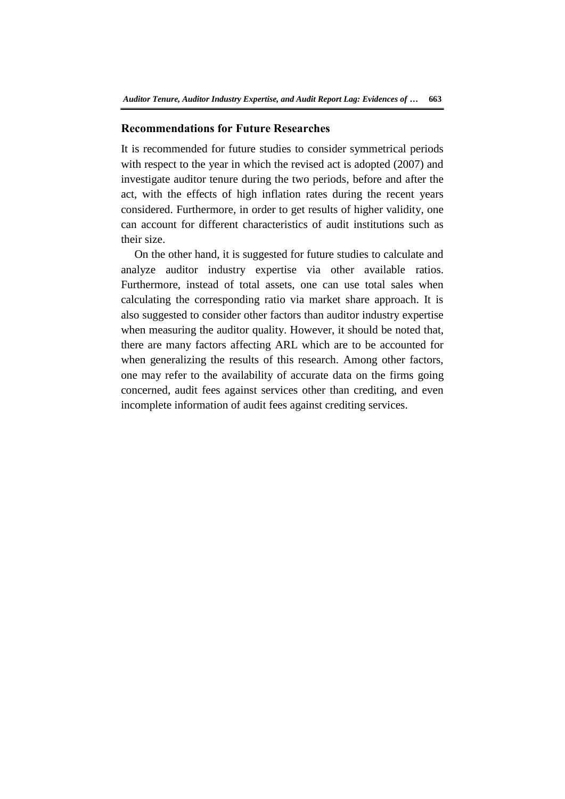# **Recommendations for Future Researches**

It is recommended for future studies to consider symmetrical periods with respect to the year in which the revised act is adopted (2007) and investigate auditor tenure during the two periods, before and after the act, with the effects of high inflation rates during the recent years considered. Furthermore, in order to get results of higher validity, one can account for different characteristics of audit institutions such as their size.

On the other hand, it is suggested for future studies to calculate and analyze auditor industry expertise via other available ratios. Furthermore, instead of total assets, one can use total sales when calculating the corresponding ratio via market share approach. It is also suggested to consider other factors than auditor industry expertise when measuring the auditor quality. However, it should be noted that, there are many factors affecting ARL which are to be accounted for when generalizing the results of this research. Among other factors, one may refer to the availability of accurate data on the firms going concerned, audit fees against services other than crediting, and even incomplete information of audit fees against crediting services.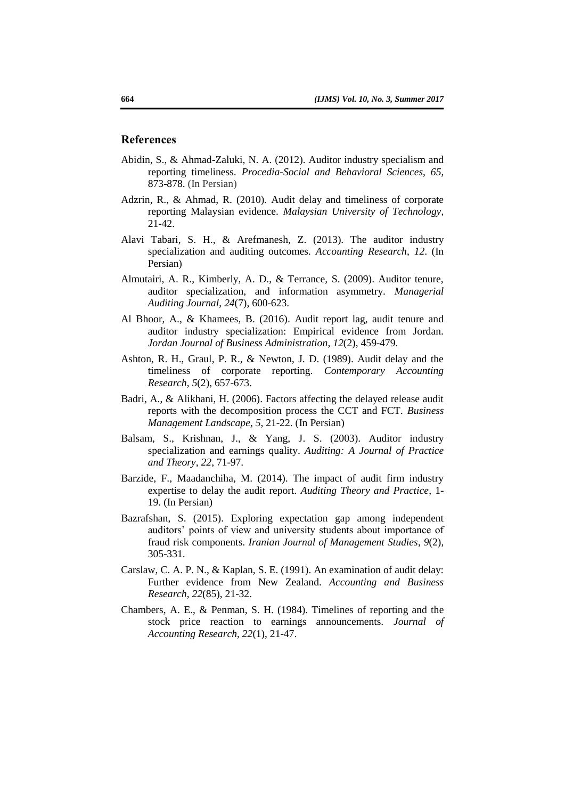#### **References**

- Abidin, S., & Ahmad-Zaluki, N. A. (2012). Auditor industry specialism and reporting timeliness. *Procedia-Social and Behavioral Sciences*, *65*, 873-878. (In Persian)
- Adzrin, R., & Ahmad, R. (2010)*.* Audit delay and timeliness of corporate reporting Malaysian evidence. *Malaysian University of Technology*, 21-42.
- Alavi Tabari, S. H., & Arefmanesh, Z. (2013). The auditor industry specialization and auditing outcomes*. Accounting Research*, *12*. (In Persian)
- Almutairi, A. R., Kimberly, A. D., & Terrance, S. (2009). Auditor tenure, auditor specialization, and information asymmetry. *Managerial Auditing Journal*, *24*(7), 600-623.
- Al Bhoor, A., & Khamees, B. (2016). Audit report lag, audit tenure and auditor industry specialization: Empirical evidence from Jordan. *Jordan Journal of Business Administration*, *12*(2), 459-479.
- Ashton, R. H., Graul, P. R., & Newton, J. D. (1989). Audit delay and the timeliness of corporate reporting. *Contemporary Accounting Research*, *5*(2), 657-673.
- Badri, A., & Alikhani, H. (2006). Factors affecting the delayed release audit reports with the decomposition process the CCT and FCT. *Business Management Landscape*, *5*, 21-22. (In Persian)
- Balsam, S., Krishnan, J., & Yang, J. S. (2003). Auditor industry specialization and earnings quality. *Auditing: A Journal of Practice and Theory*, *22*, 71-97.
- Barzide, F., Maadanchiha, M. (2014). The impact of audit firm industry expertise to delay the audit report. *Auditing Theory and Practice*, 1- 19. (In Persian)
- Bazrafshan, S. (2015). Exploring expectation gap among independent auditors' points of view and university students about importance of fraud risk components. *Iranian Journal of Management Studies*, *9*(2), 305-331.
- Carslaw, C. A. P. N., & Kaplan, S. E. (1991). An examination of audit delay: Further evidence from New Zealand. *Accounting and Business Research*, *22*(85), 21-32.
- Chambers, A. E., & Penman, S. H. (1984). Timelines of reporting and the stock price reaction to earnings announcements. *Journal of Accounting Research*, *22*(1), 21-47.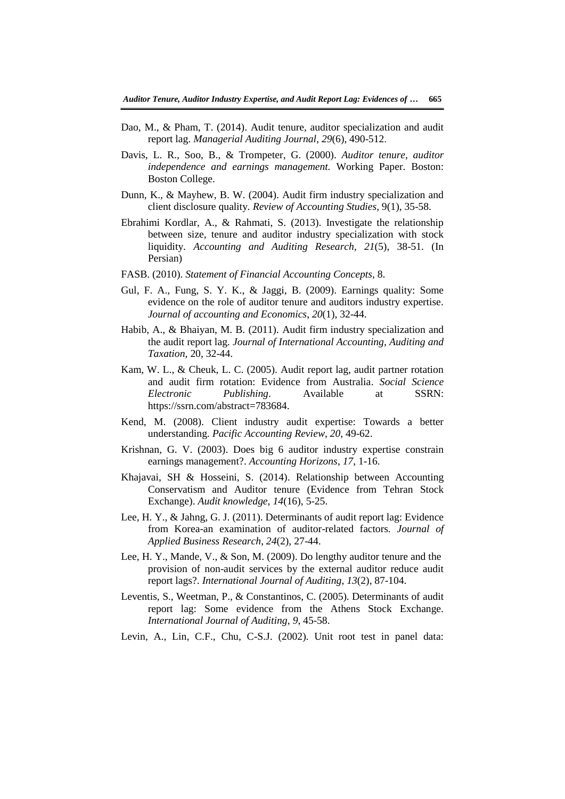- Dao, M., & Pham, T. (2014). Audit tenure, auditor specialization and audit report lag. *Managerial Auditing Journal*, *29*(6), 490-512.
- Davis, L. R., Soo, B., & Trompeter, G. (2000). *Auditor tenure, auditor independence and earnings management.* Working Paper. Boston: Boston College.
- Dunn, K., & Mayhew, B. W. (2004). Audit firm industry specialization and client disclosure quality*. Review of Accounting Studies*, 9(1), 35-58.
- Ebrahimi Kordlar, A., & Rahmati, S. (2013). Investigate the relationship between size, tenure and auditor industry specialization with stock liquidity. *Accounting and Auditing Research*, *21*(5), 38-51. (In Persian)
- FASB. (2010). *Statement of Financial Accounting Concepts*, 8.
- Gul, F. A., Fung, S. Y. K., & Jaggi, B. (2009). Earnings quality: Some evidence on the role of auditor tenure and auditors industry expertise. *Journal of accounting and Economics*, *20*(1), 32-44.
- Habib, A., & Bhaiyan, M. B. (2011). Audit firm industry specialization and the audit report lag. *Journal of International Accounting, Auditing and Taxation*, 20, 32-44.
- Kam, W. L., & Cheuk, L. C. (2005). Audit report lag, audit partner rotation and audit firm rotation: Evidence from Australia. *Social Science Electronic Publishing*. Available at SSRN: https://ssrn.com/abstract=783684.
- Kend, M. (2008). Client industry audit expertise: Towards a better understanding. *Pacific Accounting Review*, *20*, 49-62.
- Krishnan, G. V. (2003). Does big 6 auditor industry expertise constrain earnings management?. *Accounting Horizons*, *17*, 1-16.
- Khajavai, SH & Hosseini, S. (2014). Relationship between Accounting Conservatism and Auditor tenure (Evidence from Tehran Stock Exchange). *Audit knowledge*, *14*(16), 5-25.
- Lee, H. Y., & Jahng, G. J. (2011). Determinants of audit report lag: Evidence from Korea-an examination of auditor-related factors*. Journal of Applied Business Research*, *24*(2), 27-44.
- Lee, H. Y., Mande, V., & Son, M. (2009). Do lengthy auditor tenure and the provision of non-audit services by the external auditor reduce audit report lags?. *International Journal of Auditing*, *13*(2), 87-104.
- Leventis, S., Weetman, P., & Constantinos, C. (2005). Determinants of audit report lag: Some evidence from the Athens Stock Exchange. *International Journal of Auditing*, *9*, 45-58.
- Levin, A., Lin, C.F., Chu, C-S.J. (2002). Unit root test in panel data: